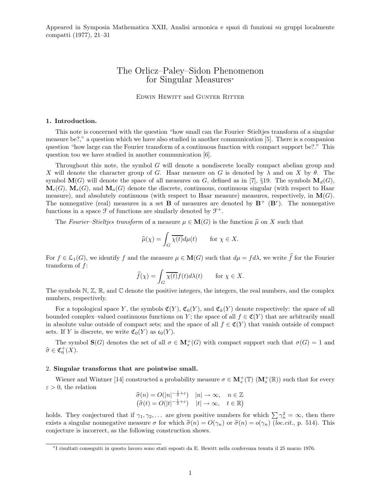Appeared in Symposia Mathematica XXII, Analisi armonica e spazi di funzioni su gruppi localmente compatti (1977), 21–31

## The Orlicz–Paley–Sidon Phenomenon for Singular Measures<sup>∗</sup>

EDWIN HEWITT and GUNTER RITTER

#### 1. Introduction.

This note is concerned with the question "how small can the Fourier–Stieltjes transform of a singular measure be?," a question which we have also studied in another communication [5]. There is a companion question "how large can the Fourier transform of a continuous function with compact support be?." This question too we have studied in another communication [6].

Throughout this note, the symbol G will denote a nondiscrete locally compact abelian group and X will denote the character group of G. Haar measure on G is denoted by  $\lambda$  and on X by  $\theta$ . The symbol  $\mathbf{M}(G)$  will denote the space of all measures on G, defined as in [7], §19. The symbols  $\mathbf{M}_d(G)$ ,  $\mathbf{M}_c(G)$ ,  $\mathbf{M}_s(G)$ , and  $\mathbf{M}_a(G)$  denote the discrete, continuous, continuous singular (with respect to Haar measure), and absolutely continuous (with respect to Haar measure) measures, respectively, in  $\mathbf{M}(G)$ . The nonnegative (real) measures in a set **B** of measures are denoted by  $B^+$  ( $B^r$ ). The nonnegative functions in a space  $\mathcal F$  of functions are similarly denoted by  $\mathcal F^+$ .

The Fourier–Stieltjes transform of a measure  $\mu \in M(G)$  is the function  $\hat{\mu}$  on X such that

$$
\widehat{\mu}(\chi) = \int_G \overline{\chi(t)} d\mu(t) \quad \text{for } \chi \in X.
$$

For  $f \in \mathcal{L}_1(G)$ , we identify f and the measure  $\mu \in \mathbf{M}(G)$  such that  $d\mu = fd\lambda$ , we write f for the Fourier transform of f:

$$
\widehat{f}(\chi) = \int_G \overline{\chi(t)} f(t) d\lambda(t) \quad \text{for } \chi \in X.
$$

The symbols  $\mathbb{N}, \mathbb{Z}, \mathbb{R}$ , and  $\mathbb{C}$  denote the positive integers, the integers, the real numbers, and the complex numbers, respectively.

For a topological space Y, the symbols  $\mathfrak{C}(Y)$ ,  $\mathfrak{C}_0(Y)$ , and  $\mathfrak{C}_k(Y)$  denote respectively: the space of all bounded complex–valued continuous functions on Y; the space of all  $f \in \mathfrak{C}(Y)$  that are arbitrarily small in absolute value outside of compact sets; and the space of all  $f \in \mathfrak{C}(Y)$  that vanish outside of compact sets. If Y is discrete, we write  $\mathfrak{C}_0(Y)$  as  $\mathfrak{c}_0(Y)$ .

The symbol  $\mathbf{S}(G)$  denotes the set of all  $\sigma \in \mathbf{M}_{s}^{+}(G)$  with compact support such that  $\sigma(G) = 1$  and  $\widehat{\sigma} \in \mathfrak{C}^+_0(X).$ 

#### 2. Singular transforms that are pointwise small.

Wiener and Wintner [14] constructed a probability measure  $\sigma \in M_s^+(\mathbb{T})$   $(M_s^+(\mathbb{R}))$  such that for every  $\varepsilon > 0$ , the relation

$$
\begin{aligned}\n\widehat{\sigma}(n) &= O(|n|^{-\frac{1}{2}+\varepsilon}) & |n| \to \infty, \quad n \in \mathbb{Z} \\
\left(\widehat{\sigma}(t) &= O(|t|^{-\frac{1}{2}+\varepsilon}) & |t| \to \infty, \quad t \in \mathbb{R}\right)\n\end{aligned}
$$

holds. They conjectured that if  $\gamma_1, \gamma_2, \ldots$  are given positive numbers for which  $\sum \gamma_n^2 = \infty$ , then there exists a singular nonnegative measure  $\sigma$  for which  $\hat{\sigma}(n) = O(\gamma_n)$  or  $\hat{\sigma}(n) = o(\gamma_n)$  (loc.cit., p. 514). This conjecture is incorrect, as the following construction shows.

<sup>∗</sup> I risultati conseguiti in questo lavoro sono stati esposti da E. Hewitt nella conferenza tenuta il 25 marzo 1976.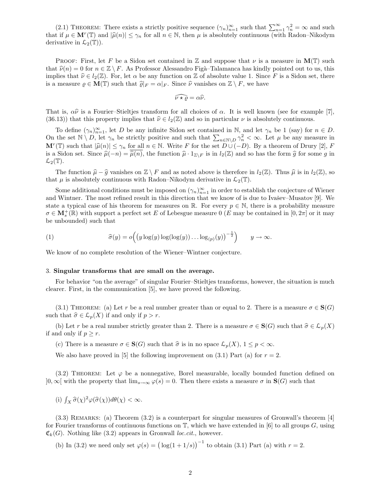(2.1) THEOREM: There exists a strictly positive sequence  $(\gamma_n)_{n=1}^{\infty}$  such that  $\sum_{n=1}^{\infty} \gamma_n^2 = \infty$  and such that if  $\mu \in \mathbf{M}^r(\mathbb{T})$  and  $|\widehat{\mu}(n)| \leq \gamma_n$  for all  $n \in \mathbb{N}$ , then  $\mu$  is absolutely continuous (with Radon–Nikodym derivative in  $\mathcal{L}_2(\mathbb{T})$ ).

PROOF: First, let F be a Sidon set contained in  $\mathbb Z$  and suppose that  $\nu$  is a measure in  $\mathbf M(\mathbb T)$  such that  $\hat{\nu}(n) = 0$  for  $n \in \mathbb{Z} \setminus F$ . As Professor Alessandro Figà–Talamanca has kindly pointed out to us, this implies that  $\hat{\nu} \in l_2(\mathbb{Z})$ . For, let  $\alpha$  be any function on Z of absolute value 1. Since F is a Sidon set, there is a measure  $\rho \in \mathbf{M}(\mathbb{T})$  such that  $\widehat{\varrho}|_F = \alpha|_F$ . Since  $\widehat{\nu}$  vanishes on  $\mathbb{Z} \setminus F$ , we have

$$
\widehat{\nu \star \varrho} = \alpha \widehat{\nu}.
$$

That is,  $\alpha \hat{\nu}$  is a Fourier–Stieltjes transform for all choices of  $\alpha$ . It is well known (see for example [7], (36.13)) that this property implies that  $\hat{\nu} \in l_2(\mathbb{Z})$  and so in particular  $\nu$  is absolutely continuous.

To define  $(\gamma_n)_{n=1}^{\infty}$ , let D be any infinite Sidon set contained in N, and let  $\gamma_n$  be 1 (say) for  $n \in D$ . On the set  $\mathbb{N} \setminus D$ , let  $\gamma_n$  be strictly positive and such that  $\sum_{n \in \mathbb{N} \setminus D} \gamma_n^2 < \infty$ . Let  $\mu$  be any measure in  $\mathbf{M}^r(\mathbb{T})$  such that  $|\widehat{\mu}(n)| \leq \gamma_n$  for all  $n \in \mathbb{N}$ . Write F for the set  $D \cup (-D)$ . By a theorem of Drury [2], F is a Sidon set. Since  $\hat{\mu}(-n) = \hat{\overline{\mu}(n)}$ , the function  $\hat{\mu} \cdot 1_{\mathbb{Z}\setminus F}$  is in  $l_2(\mathbb{Z})$  and so has the form  $\hat{g}$  for some g in  $\mathcal{L}_2(\mathbb{T})$ .

The function  $\hat{\mu} - \hat{g}$  vanishes on  $\mathbb{Z} \setminus F$  and as noted above is therefore in  $l_2(\mathbb{Z})$ . Thus  $\hat{\mu}$  is in  $l_2(\mathbb{Z})$ , so that  $\mu$  is absolutely continuous with Radon–Nikodym derivative in  $\mathcal{L}_2(\mathbb{T})$ .

Some additional conditions must be imposed on  $(\gamma_n)_{n=1}^{\infty}$  in order to establish the conjecture of Wiener and Wintner. The most refined result in this direction that we know of is due to Ivašev–Musatov [9]. We state a typical case of his theorem for measures on R. For every  $p \in \mathbb{N}$ , there is a probability measure  $\sigma \in \mathbf{M}_{s}^{+}(\mathbb{R})$  with support a perfect set E of Lebesgue measure 0 (E may be contained in  $[0, 2\pi]$  or it may be unbounded) such that

(1) 
$$
\widehat{\sigma}(y) = o\Big(\big(y \log(y) \log(\log(y)) \dots \log_{(p)}(y)\big)^{-\frac{1}{2}}\Big) \qquad y \to \infty.
$$

We know of no complete resolution of the Wiener–Wintner conjecture.

#### 3. Singular transforms that are small on the average.

For behavior "on the average" of singular Fourier–Stieltjes transforms, however, the situation is much clearer. First, in the communication [5], we have proved the following.

(3.1) THEOREM: (a) Let r be a real number greater than or equal to 2. There is a measure  $\sigma \in \mathbf{S}(G)$ such that  $\hat{\sigma} \in \mathcal{L}_p(X)$  if and only if  $p > r$ .

(b) Let r be a real number strictly greater than 2. There is a measure  $\sigma \in \mathbf{S}(G)$  such that  $\widehat{\sigma} \in \mathcal{L}_p(X)$ if and only if  $p \geq r$ .

(c) There is a measure  $\sigma \in \mathbf{S}(G)$  such that  $\widehat{\sigma}$  is in no space  $\mathcal{L}_p(X)$ ,  $1 \leq p < \infty$ .

We also have proved in [5] the following improvement on  $(3.1)$  Part  $(a)$  for  $r = 2$ .

(3.2) THEOREM: Let  $\varphi$  be a nonnegative, Borel measurable, locally bounded function defined on  $]0,\infty[$  with the property that  $\lim_{s\to\infty}\varphi(s)=0$ . Then there exists a measure  $\sigma$  in  $\mathbf{S}(G)$  such that

(i)  $\int_X \widehat{\sigma}(\chi)^2 \varphi(\widehat{\sigma}(\chi)) d\theta(\chi) < \infty$ .

 $(3.3)$  REMARKS: (a) Theorem  $(3.2)$  is a counterpart for singular measures of Gronwall's theorem [4] for Fourier transforms of continuous functions on  $\mathbb{T}$ , which we have extended in [6] to all groups  $G$ , using  $\mathfrak{C}_k(G)$ . Nothing like (3.2) appears in Gronwall loc.cit., however.

(b) In (3.2) we need only set  $\varphi(s) = (\log(1+1/s))^{-1}$  to obtain (3.1) Part (a) with  $r = 2$ .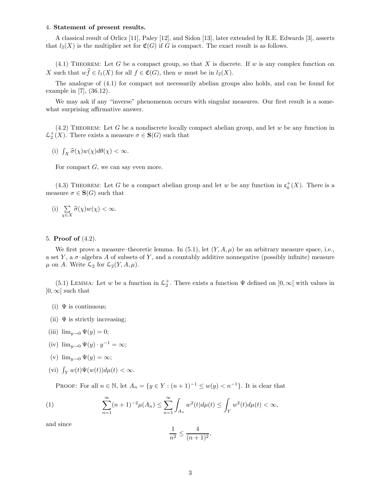## 4. Statement of present results.

A classical result of Orlicz [11], Paley [12], and Sidon [13], later extended by R.E. Edwards [3], asserts that  $l_2(X)$  is the multiplier set for  $\mathfrak{C}(G)$  if G is compact. The exact result is as follows.

 $(4.1)$  THEOREM: Let G be a compact group, so that X is discrete. If w is any complex function on X such that  $w\widehat{f} \in l_1(X)$  for all  $f \in \mathfrak{C}(G)$ , then w must be in  $l_2(X)$ .

The analogue of (4.1) for compact not necessarily abelian groups also holds, and can be found for example in [7], (36.12).

We may ask if any "inverse" phenomenon occurs with singular measures. Our first result is a somewhat surprising affirmative answer.

 $(4.2)$  THEOREM: Let G be a nondiscrete locally compact abelian group, and let w be any function in  $\mathcal{L}_2^+(X)$ . There exists a measure  $\sigma \in \mathbf{S}(G)$  such that

(i)  $\int_X \widehat{\sigma}(\chi) w(\chi) d\theta(\chi) < \infty$ .

For compact  $G$ , we can say even more.

(4.3) THEOREM: Let G be a compact abelian group and let w be any function in  $\mathfrak{c}_0^+(X)$ . There is a measure  $\sigma \in \mathbf{S}(G)$  such that

(i) 
$$
\sum_{\chi \in X} \hat{\sigma}(\chi) w(\chi) < \infty
$$
.

## 5. Proof of (4.2).

We first prove a measure–theoretic lemma. In  $(5.1)$ , let  $(Y, A, \mu)$  be an arbitrary measure space, i.e., a set Y, a  $\sigma$ -algebra A of subsets of Y, and a countably additive nonnegative (possibly infinite) measure  $\mu$  on A. Write  $\mathcal{L}_2$  for  $\mathcal{L}_2(Y, A, \mu)$ .

(5.1) LEMMA: Let w be a function in  $\mathcal{L}_2^+$ . There exists a function  $\Psi$  defined on  $]0,\infty[$  with values in  $]0,\infty[$  such that

- (i)  $\Psi$  is continuous;
- (ii)  $\Psi$  is strictly increasing;
- (iii)  $\lim_{y\to 0} \Psi(y) = 0;$
- (iv)  $\lim_{y\to 0} \Psi(y) \cdot y^{-1} = \infty;$
- (v)  $\lim_{y\to 0} \Psi(y) = \infty;$
- (vi)  $\int_Y w(t)\Psi(w(t))d\mu(t) < \infty$ .

PROOF: For all  $n \in \mathbb{N}$ , let  $A_n = \{y \in Y : (n+1)^{-1} \leq w(y) < n^{-1}\}\$ . It is clear that

(1) 
$$
\sum_{n=1}^{\infty} (n+1)^{-2} \mu(A_n) \leq \sum_{n=1}^{\infty} \int_{A_n} w^2(t) d\mu(t) \leq \int_Y w^2(t) d\mu(t) < \infty,
$$

and since

$$
\frac{1}{n^2} \le \frac{4}{(n+1)^2},
$$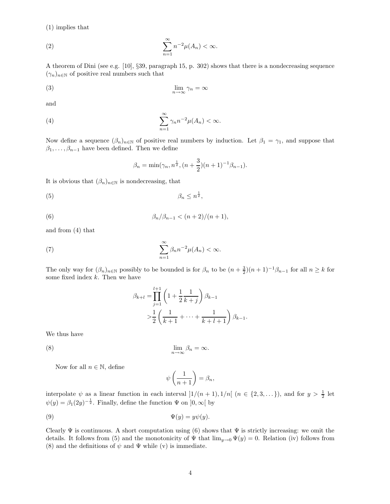(1) implies that

$$
(2) \qquad \sum_{n=1}^{\infty} n^{-2} \mu(A_n) < \infty.
$$

A theorem of Dini (see e.g. [10], §39, paragraph 15, p. 302) shows that there is a nondecreasing sequence  $(\gamma_n)_{n\in\mathbb{N}}$  of positive real numbers such that

$$
\lim_{n \to \infty} \gamma_n = \infty
$$

and

(4) 
$$
\sum_{n=1}^{\infty} \gamma_n n^{-2} \mu(A_n) < \infty.
$$

Now define a sequence  $(\beta_n)_{n\in\mathbb{N}}$  of positive real numbers by induction. Let  $\beta_1 = \gamma_1$ , and suppose that  $\beta_1, \ldots, \beta_{n-1}$  have been defined. Then we define

$$
\beta_n = \min(\gamma_n, n^{\frac{1}{2}}, (n+\frac{3}{2})(n+1)^{-1}\beta_{n-1}).
$$

It is obvious that  $(\beta_n)_{n\in\mathbb{N}}$  is nondecreasing, that

(5) β<sup>n</sup> ≤ n 1 2 ,

(6) 
$$
\beta_n/\beta_{n-1} < (n+2)/(n+1),
$$

and from (4) that

(7) 
$$
\sum_{n=1}^{\infty} \beta_n n^{-2} \mu(A_n) < \infty.
$$

The only way for  $(\beta_n)_{n\in\mathbb{N}}$  possibly to be bounded is for  $\beta_n$  to be  $(n+\frac{3}{2})(n+1)^{-1}\beta_{n-1}$  for all  $n\geq k$  for some fixed index  $k$ . Then we have

$$
\beta_{k+l} = \prod_{j=1}^{l+1} \left( 1 + \frac{1}{2k+1} \right) \beta_{k-1}
$$
  
> 
$$
\frac{1}{2} \left( \frac{1}{k+1} + \dots + \frac{1}{k+l+1} \right) \beta_{k-1}.
$$

We thus have

$$
\lim_{n \to \infty} \beta_n
$$

Now for all  $n \in \mathbb{N}$ , define

$$
\psi\left(\frac{1}{n+1}\right) = \beta_n,
$$

 $=\infty$ .

interpolate  $\psi$  as a linear function in each interval  $]1/(n+1), 1/n[$   $(n \in \{2,3,...\})$ , and for  $y > \frac{1}{2}$  let  $\psi(y) = \beta_1(2y)^{-\frac{1}{2}}$ . Finally, define the function  $\Psi$  on  $]0, \infty[$  by

$$
\Psi(y) = y\psi(y).
$$

Clearly  $\Psi$  is continuous. A short computation using (6) shows that  $\Psi$  is strictly increasing: we omit the details. It follows from (5) and the monotonicity of  $\Psi$  that  $\lim_{y\to 0} \Psi(y) = 0$ . Relation (iv) follows from (8) and the definitions of  $\psi$  and  $\Psi$  while (v) is immediate.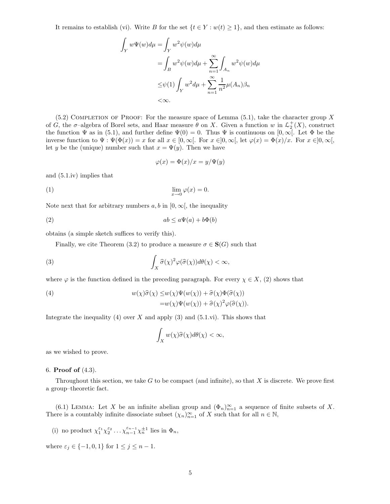It remains to establish (vi). Write B for the set  $\{t \in Y : w(t) \ge 1\}$ , and then estimate as follows:

$$
\int_{Y} w\Psi(w)d\mu = \int_{Y} w^{2}\psi(w)d\mu
$$
\n
$$
= \int_{B} w^{2}\psi(w)d\mu + \sum_{n=1}^{\infty} \int_{A_{n}} w^{2}\psi(w)d\mu
$$
\n
$$
\leq \psi(1) \int_{Y} w^{2}d\mu + \sum_{n=1}^{\infty} \frac{1}{n^{2}} \mu(A_{n})\beta_{n}
$$
\n
$$
< \infty.
$$

 $(5.2)$  COMPLETION OF PROOF: For the measure space of Lemma  $(5.1)$ , take the character group X of G, the  $\sigma$ -algebra of Borel sets, and Haar measure  $\theta$  on X. Given a function w in  $\mathcal{L}_2^+(X)$ , construct the function  $\Psi$  as in (5.1), and further define  $\Psi(0) = 0$ . Thus  $\Psi$  is continuous on  $[0, \infty]$ . Let  $\Phi$  be the inverse function to  $\Psi : \Psi(\Phi(x)) = x$  for all  $x \in [0,\infty[$ . For  $x \in ]0,\infty[$ , let  $\varphi(x) = \Phi(x)/x$ . For  $x \in ]0,\infty[$ , let y be the (unique) number such that  $x = \Psi(y)$ . Then we have

$$
\varphi(x) = \Phi(x)/x = y/\Psi(y)
$$

and (5.1.iv) implies that

$$
\lim_{x \to 0} \varphi(x) = 0.
$$

Note next that for arbitrary numbers  $a, b$  in  $[0, \infty]$ , the inequality

$$
(2) \t\t\t ab \le a\Psi(a) + b\Phi(b)
$$

obtains (a simple sketch suffices to verify this).

Finally, we cite Theorem (3.2) to produce a measure  $\sigma \in \mathbf{S}(G)$  such that

(3) 
$$
\int_X \widehat{\sigma}(\chi)^2 \varphi(\widehat{\sigma}(\chi)) d\theta(\chi) < \infty,
$$

where  $\varphi$  is the function defined in the preceding paragraph. For every  $\chi \in X$ , (2) shows that

(4) 
$$
w(\chi)\widehat{\sigma}(\chi) \leq w(\chi)\Psi(w(\chi)) + \widehat{\sigma}(\chi)\Phi(\widehat{\sigma}(\chi))
$$

$$
= w(\chi)\Psi(w(\chi)) + \widehat{\sigma}(\chi)^2\varphi(\widehat{\sigma}(\chi)).
$$

Integrate the inequality (4) over X and apply (3) and (5.1.vi). This shows that

$$
\int_X w(\chi)\widehat{\sigma}(\chi)d\theta(\chi)<\infty,
$$

as we wished to prove.

#### 6. Proof of (4.3).

Throughout this section, we take  $G$  to be compact (and infinite), so that  $X$  is discrete. We prove first a group–theoretic fact.

(6.1) LEMMA: Let X be an infinite abelian group and  $(\Phi_n)_{n=1}^{\infty}$  a sequence of finite subsets of X. There is a countably infinite dissociate subset  $(\chi_n)_{n=1}^{\infty}$  of X such that for all  $n \in \mathbb{N}$ ,

(i) no product  $\chi_1^{\varepsilon_1}\chi_2^{\varepsilon_2}\ldots\chi_{n-1}^{\varepsilon_{n-1}}\chi_n^{\pm 1}$  lies in  $\Phi_n$ ,

where  $\varepsilon_j \in \{-1,0,1\}$  for  $1 \leq j \leq n-1$ .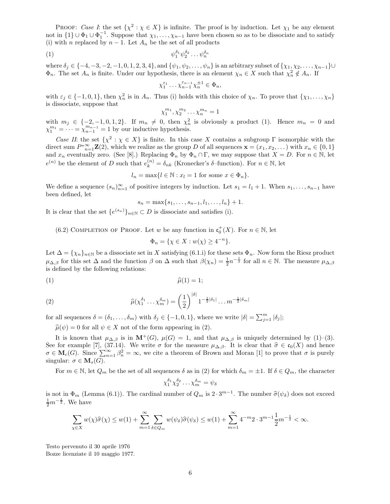PROOF: Case I: the set  $\{\chi^2 : \chi \in X\}$  is infinite. The proof is by induction. Let  $\chi_1$  be any element not in  $\{1\} \cup \Phi_1 \cup \Phi_1^{-1}$ . Suppose that  $\chi_1, \ldots, \chi_{n-1}$  have been chosen so as to be dissociate and to satisfy (i) with n replaced by  $n-1$ . Let  $A_n$  be the set of all products

$$
\psi_1^{\delta_1}\psi_2^{\delta_2}\dots\psi_n^{\delta_n}
$$

where  $\delta_j \in \{-4, -3, -2, -1, 0, 1, 2, 3, 4\}$ , and  $\{\psi_1, \psi_2, \dots, \psi_n\}$  is an arbitrary subset of  $\{\chi_1, \chi_2, \dots, \chi_{n-1}\}\cup$  $\Phi_n$ . The set  $A_n$  is finite. Under our hypothesis, there is an element  $\chi_n \in X$  such that  $\chi_n^2 \notin A_n$ . If

$$
\chi_1^{\varepsilon_1} \cdots \chi_{n-1}^{\varepsilon_{n-1}} \chi_n^{\pm 1} \in \Phi_n,
$$

with  $\varepsilon_j \in \{-1, 0, 1\}$ , then  $\chi_n^2$  is in  $A_n$ . Thus (i) holds with this choice of  $\chi_n$ . To prove that  $\{\chi_1, \ldots, \chi_n\}$ is dissociate, suppose that

$$
\chi_1^{m_1}, \chi_2^{m_2} \dots \chi_n^{m_n} = 1
$$

with  $m_j \in \{-2, -1, 0, 1, 2\}$ . If  $m_n \neq 0$ , then  $\chi_n^2$  is obviously a product (1). Hence  $m_n = 0$  and  $\chi_1^{m_1} = \cdots = \chi_{n-1}^{m_{n-1}} = 1$  by our inductive hypothesis.

Case II: the set  $\{\chi^2 : \chi \in X\}$  is finite. In this case X contains a subgroup  $\Gamma$  isomorphic with the direct sum  $P^*_{n=1}^{\infty} \mathbf{Z}(2)$ , which we realize as the group D of all sequences  $\mathbf{x} = (x_1, x_2, \dots)$  with  $x_n \in \{0, 1\}$ and  $x_n$  eventually zero. (See [8].) Replacing  $\Phi_n$  by  $\Phi_n \cap \Gamma$ , we may suppose that  $X = D$ . For  $n \in \mathbb{N}$ , let  $e^{(n)}$  be the element of D such that  $e_k^{(n)} = \delta_{nk}$  (Kronecker's  $\delta$ -function). For  $n \in \mathbb{N}$ , let

 $l_n = \max\{l \in \mathbb{N} : x_l = 1 \text{ for some } x \in \Phi_n\}.$ 

We define a sequence  $(s_n)_{n=1}^{\infty}$  of positive integers by induction. Let  $s_1 = l_1 + 1$ . When  $s_1, \ldots, s_{n-1}$  have been defined, let

$$
s_n = \max\{s_1, \ldots, s_{n-1}, l_1, \ldots, l_n\} + 1.
$$

It is clear that the set  $\{e^{(s_n)}\}_{n\in\mathbb{N}}\subset D$  is dissociate and satisfies (i).

(6.2) COMPLETION OF PROOF. Let w be any function in  $\mathfrak{c}_0^+(X)$ . For  $n \in \mathbb{N}$ , let

$$
\Phi_n = \{ \chi \in X : w(\chi) \ge 4^{-n} \}.
$$

Let  $\Delta = {\chi_n}_{n \in \mathbb{N}}$  be a dissociate set in X satisfying (6.1.i) for these sets  $\Phi_n$ . Now form the Riesz product  $\mu_{\Delta,\beta}$  for this set  $\Delta$  and the function  $\beta$  on  $\Delta$  such that  $\beta(\chi_n) = \frac{1}{2}n^{-\frac{1}{2}}$  for all  $n \in \mathbb{N}$ . The measure  $\mu_{\Delta,\beta}$ is defined by the following relations:

$$
\widehat{\mu}(1) = 1;
$$

(2) 
$$
\widehat{\mu}(\chi_1^{\delta_1} \dots \chi_m^{\delta_m}) = \left(\frac{1}{2}\right)^{|\delta|} 1^{-\frac{1}{2}|\delta_1|} \dots m^{-\frac{1}{2}|\delta_m|}
$$

for all sequences  $\delta = (\delta_1, \ldots, \delta_m)$  with  $\delta_j \in \{-1, 0, 1\}$ , where we write  $|\delta| = \sum_{j=1}^m |\delta_j|$ ;

 $\hat{\mu}(\psi) = 0$  for all  $\psi \in X$  not of the form appearing in (2).

It is known that  $\mu_{\Delta,\beta}$  is in  $\mathbf{M}^+(G)$ ,  $\mu(G) = 1$ , and that  $\mu_{\Delta,\beta}$  is uniquely determined by (1)–(3). See for example [7], (37.14). We write  $\sigma$  for the measure  $\mu_{\Delta,\beta}$ . It is clear that  $\hat{\sigma} \in \mathfrak{c}_0(X)$  and hence  $\sigma \in \mathbf{M}_{c}(G)$ . Since  $\sum_{n=1}^{\infty} \beta_n^2 = \infty$ , we cite a theorem of Brown and Moran [1] to prove that  $\sigma$  is purely singular:  $\sigma \in \mathbf{M}_{s}(G)$ .

For  $m \in \mathbb{N}$ , let  $Q_m$  be the set of all sequences  $\delta$  as in (2) for which  $\delta_m = \pm 1$ . If  $\delta \in Q_m$ , the character

$$
\chi_1^{\delta_1}\chi_2^{\delta_2}\dots\chi_m^{\delta_m}=\psi_\delta
$$

is not in  $\Phi_m$  (Lemma (6.1)). The cardinal number of  $Q_m$  is  $2 \cdot 3^{m-1}$ . The number  $\hat{\sigma}(\psi_\delta)$  does not exceed  $\frac{1}{2}m^{-\frac{1}{2}}$ . We have

$$
\sum_{\chi \in X} w(\chi)\widehat{\sigma}(\chi) \le w(1) + \sum_{m=1}^{\infty} \sum_{\delta \in Q_m} w(\psi_{\delta})\widehat{\sigma}(\psi_{\delta}) \le w(1) + \sum_{m=1}^{\infty} 4^{-m} 2 \cdot 3^{m-1} \frac{1}{2} m^{-\frac{1}{2}} < \infty.
$$

Testo pervenuto il 30 aprile 1976 Bozze licenziate il 10 maggio 1977.